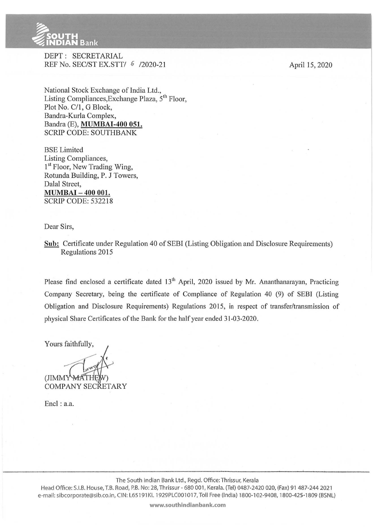

' ' ' Contract of Contract of Contract of Contract of Contract of Contract of Contract of Contract of Contract of Contract of Contract of Contract of Contract of Contract of Contract of Contract of Contract of Contract of

DEPT: SECRETARJAL REF No. SEC/ST EX.STT/ 6 /2020-21

National Stock Exchange of India Ltd., Listing Compliances, Exchange Plaza,  $5<sup>th</sup>$  Floor, Plot No. C/1, G Block, Bandra-Kurla Complex, Bandra (E), **MUMBAI-400 051.**  SCRIP CODE: SOUTHBANK

BSE Limited Listing Compliances, 1<sup>st</sup> Floor, New Trading Wing, Rotunda Building, P. J Towers, Dalal Street, **MUMBAI- 400 001.**  SCRIP CODE: 532218

Dear Sirs,

**Sub:** Certificate under Regulation 40 of SEBI (Listing Obligation and Disclosure Requirements) Regulations 2015

Please find enclosed a certificate dated 13<sup>th</sup> April, 2020 issued by Mr. Ananthanarayan, Practicing Company Secretary, being the certificate of Compliance of Regulation 40 (9) of SEBl (Listing Obligation and Disclosure Requirements) Regulations 2015, in respect of transfer/transmission of physical Share Certificates of the Bank for the half year ended 31-03-2020.

Yours faithfully,

(JIMMY COMPANY SECRETARY

Encl: a.a.

**www.southindianbank.com** 

April 15, 2020